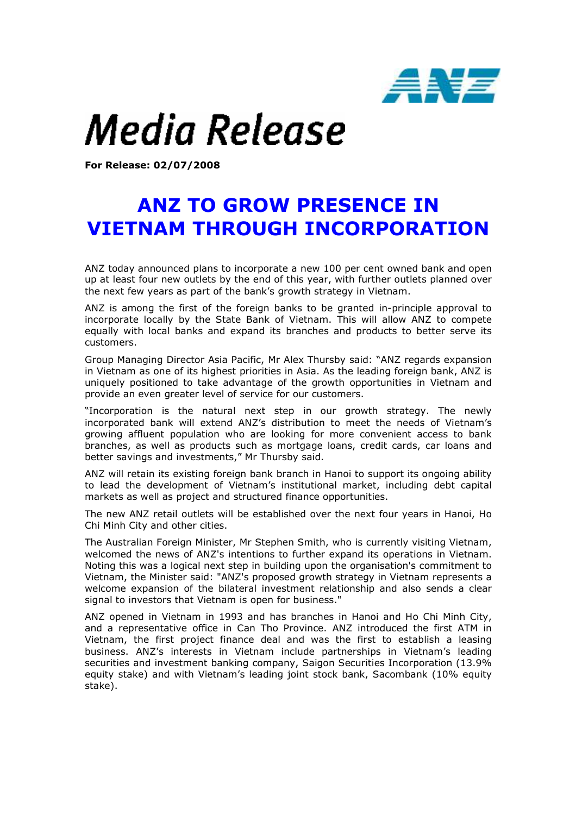

## Media Release

For Release: 02/07/2008

## ANZ TO GROW PRESENCE IN VIETNAM THROUGH INCORPORATION

ANZ today announced plans to incorporate a new 100 per cent owned bank and open up at least four new outlets by the end of this year, with further outlets planned over the next few years as part of the bank's growth strategy in Vietnam.

ANZ is among the first of the foreign banks to be granted in-principle approval to incorporate locally by the State Bank of Vietnam. This will allow ANZ to compete equally with local banks and expand its branches and products to better serve its customers.

Group Managing Director Asia Pacific, Mr Alex Thursby said: "ANZ regards expansion in Vietnam as one of its highest priorities in Asia. As the leading foreign bank, ANZ is uniquely positioned to take advantage of the growth opportunities in Vietnam and provide an even greater level of service for our customers.

"Incorporation is the natural next step in our growth strategy. The newly incorporated bank will extend ANZ's distribution to meet the needs of Vietnam's growing affluent population who are looking for more convenient access to bank branches, as well as products such as mortgage loans, credit cards, car loans and better savings and investments," Mr Thursby said.

ANZ will retain its existing foreign bank branch in Hanoi to support its ongoing ability to lead the development of Vietnam's institutional market, including debt capital markets as well as project and structured finance opportunities.

The new ANZ retail outlets will be established over the next four years in Hanoi, Ho Chi Minh City and other cities.

The Australian Foreign Minister, Mr Stephen Smith, who is currently visiting Vietnam, welcomed the news of ANZ's intentions to further expand its operations in Vietnam. Noting this was a logical next step in building upon the organisation's commitment to Vietnam, the Minister said: "ANZ's proposed growth strategy in Vietnam represents a welcome expansion of the bilateral investment relationship and also sends a clear signal to investors that Vietnam is open for business."

ANZ opened in Vietnam in 1993 and has branches in Hanoi and Ho Chi Minh City, and a representative office in Can Tho Province. ANZ introduced the first ATM in Vietnam, the first project finance deal and was the first to establish a leasing business. ANZ's interests in Vietnam include partnerships in Vietnam's leading securities and investment banking company, Saigon Securities Incorporation (13.9% equity stake) and with Vietnam's leading joint stock bank, Sacombank (10% equity stake).